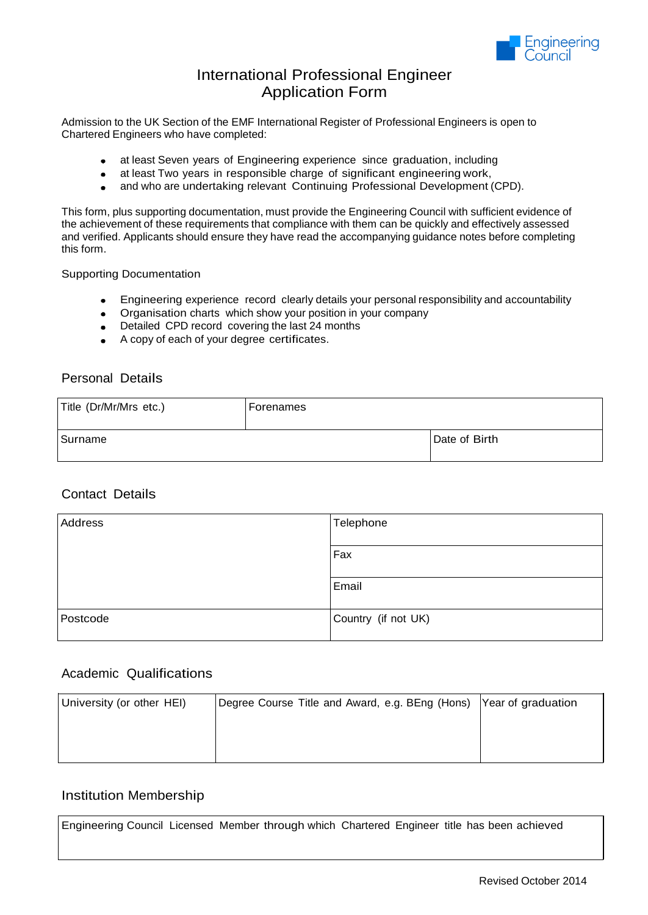

## International Professional Engineer Application Form

Admission to the UK Section of the EMF International Register of Professional Engineers is open to Chartered Engineers who have completed:

- at least Seven years of Engineering experience since graduation, including
- at least Two years in responsible charge of significant engineering work,
- and who are undertaking relevant Continuing Professional Development (CPD).

This form, plus supporting documentation, must provide the Engineering Council with sufficient evidence of the achievement of these requirements that compliance with them can be quickly and effectively assessed and verified. Applicants should ensure they have read the accompanying guidance notes before completing this form.

Supporting Documentation

- Engineering experience record clearly details your personal responsibility and accountability
- Organisation charts which show your position in your company
- Detailed CPD record covering the last 24 months
- A copy of each of your degree certificates.

## Personal Details

| Title (Dr/Mr/Mrs etc.) | l Forenames |               |
|------------------------|-------------|---------------|
| Surname                |             | Date of Birth |

#### Contact Details

| Address  | Telephone           |
|----------|---------------------|
|          | Fax                 |
|          | Email               |
| Postcode | Country (if not UK) |

## Academic Qualifications

| University (or other HEI) | Degree Course Title and Award, e.g. BEng (Hons) Year of graduation |  |
|---------------------------|--------------------------------------------------------------------|--|
|                           |                                                                    |  |
|                           |                                                                    |  |
|                           |                                                                    |  |

#### Institution Membership

Engineering Council Licensed Member through which Chartered Engineer title has been achieved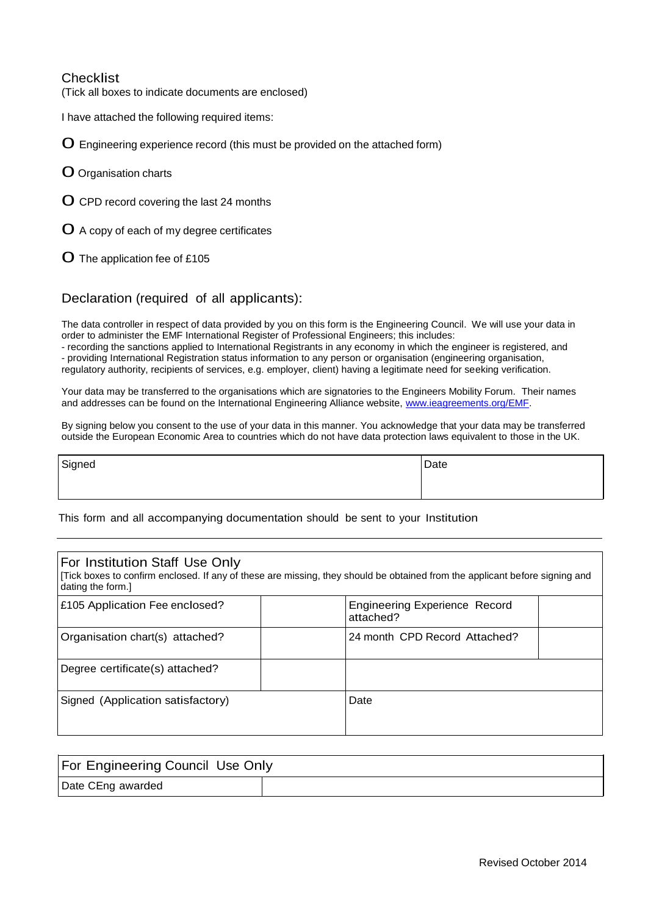### **Checklist**

(Tick all boxes to indicate documents are enclosed)

I have attached the following required items:

0 Engineering experience record (this must be provided on the attached form)

- 0 Organisation charts
- 0 CPD record covering the last <sup>24</sup> months
- $\mathbf O$  A copy of each of my degree certificates
- 0 The application fee of £105

#### Declaration (required of all applicants):

The data controller in respect of data provided by you on this form is the Engineering Council. We will use your data in order to administer the EMF International Register of Professional Engineers; this includes:

- recording the sanctions applied to International Registrants in any economy in which the engineer is registered, and - providing International Registration status information to any person or organisation (engineering organisation, regulatory authority, recipients of services, e.g. employer, client) having a legitimate need for seeking verification.

Your data may be transferred to the organisations which are signatories to the Engineers Mobility Forum. Their names and addresses can be found on the International Engineering Alliance website, [www.ieagreements.org/EMF.](http://www.ieagreements.org/EMF)

By signing below you consent to the use of your data in this manner. You acknowledge that your data may be transferred outside the European Economic Area to countries which do not have data protection laws equivalent to those in the UK.

Signed Date **Date** 

This form and all accompanying documentation should be sent to your Institution

| For Institution Staff Use Only<br>[Tick boxes to confirm enclosed. If any of these are missing, they should be obtained from the applicant before signing and<br>dating the form.] |                                                   |  |
|------------------------------------------------------------------------------------------------------------------------------------------------------------------------------------|---------------------------------------------------|--|
| £105 Application Fee enclosed?                                                                                                                                                     | <b>Engineering Experience Record</b><br>attached? |  |
| Organisation chart(s) attached?                                                                                                                                                    | 24 month CPD Record Attached?                     |  |
| Degree certificate(s) attached?                                                                                                                                                    |                                                   |  |
| Signed (Application satisfactory)                                                                                                                                                  | Date                                              |  |

| <b>For Engineering Council Use Only</b> |  |
|-----------------------------------------|--|
| Date CEng awarded                       |  |